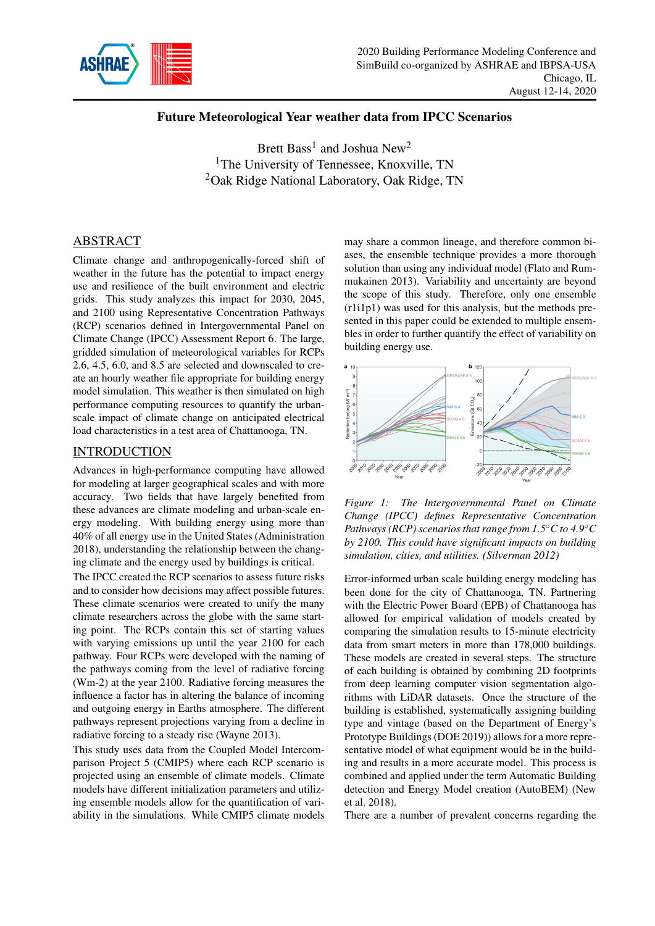

# Future Meteorological Year weather data from IPCC Scenarios

Brett Bass<sup>1</sup> and Joshua New<sup>2</sup> <sup>1</sup>The University of Tennessee, Knoxville, TN <sup>2</sup>Oak Ridge National Laboratory, Oak Ridge, TN

# ABSTRACT

Climate change and anthropogenically-forced shift of weather in the future has the potential to impact energy use and resilience of the built environment and electric grids. This study analyzes this impact for 2030, 2045, and 2100 using Representative Concentration Pathways (RCP) scenarios defined in Intergovernmental Panel on Climate Change (IPCC) Assessment Report 6. The large, gridded simulation of meteorological variables for RCPs 2.6, 4.5, 6.0, and 8.5 are selected and downscaled to create an hourly weather file appropriate for building energy model simulation. This weather is then simulated on high performance computing resources to quantify the urbanscale impact of climate change on anticipated electrical load characteristics in a test area of Chattanooga, TN.

### INTRODUCTION

Advances in high-performance computing have allowed for modeling at larger geographical scales and with more accuracy. Two fields that have largely benefited from these advances are climate modeling and urban-scale energy modeling. With building energy using more than 40% of all energy use in the United States (Administration 2018), understanding the relationship between the changing climate and the energy used by buildings is critical.

The IPCC created the RCP scenarios to assess future risks and to consider how decisions may affect possible futures. These climate scenarios were created to unify the many climate researchers across the globe with the same starting point. The RCPs contain this set of starting values with varying emissions up until the year 2100 for each pathway. Four RCPs were developed with the naming of the pathways coming from the level of radiative forcing (Wm-2) at the year 2100. Radiative forcing measures the influence a factor has in altering the balance of incoming and outgoing energy in Earths atmosphere. The different pathways represent projections varying from a decline in radiative forcing to a steady rise (Wayne 2013).

This study uses data from the Coupled Model Intercomparison Project 5 (CMIP5) where each RCP scenario is projected using an ensemble of climate models. Climate models have different initialization parameters and utilizing ensemble models allow for the quantification of variability in the simulations. While CMIP5 climate models

may share a common lineage, and therefore common biases, the ensemble technique provides a more thorough solution than using any individual model (Flato and Rummukainen 2013). Variability and uncertainty are beyond the scope of this study. Therefore, only one ensemble (r1i1p1) was used for this analysis, but the methods presented in this paper could be extended to multiple ensembles in order to further quantify the effect of variability on building energy use.



*Figure 1: The Intergovernmental Panel on Climate Change (IPCC) defines Representative Concentration Pathways (RCP) scenarios that range from 1.5*◦*C to 4.9*◦*C by 2100. This could have significant impacts on building simulation, cities, and utilities. (Silverman 2012)*

Error-informed urban scale building energy modeling has been done for the city of Chattanooga, TN. Partnering with the Electric Power Board (EPB) of Chattanooga has allowed for empirical validation of models created by comparing the simulation results to 15-minute electricity data from smart meters in more than 178,000 buildings. These models are created in several steps. The structure of each building is obtained by combining 2D footprints from deep learning computer vision segmentation algorithms with LiDAR datasets. Once the structure of the building is established, systematically assigning building type and vintage (based on the Department of Energy's Prototype Buildings (DOE 2019)) allows for a more representative model of what equipment would be in the building and results in a more accurate model. This process is combined and applied under the term Automatic Building detection and Energy Model creation (AutoBEM) (New et al. 2018).

There are a number of prevalent concerns regarding the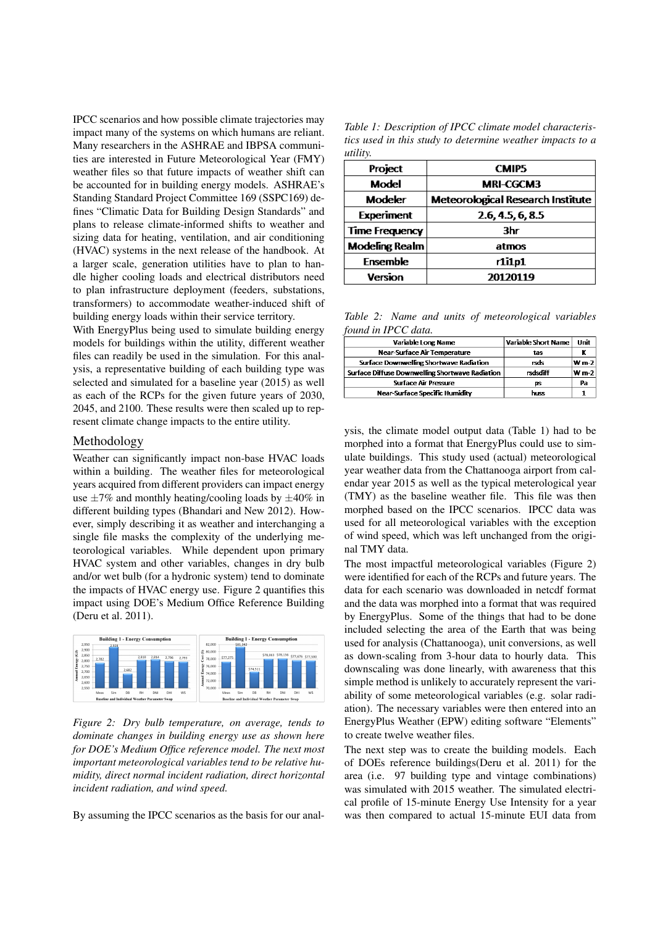IPCC scenarios and how possible climate trajectories may impact many of the systems on which humans are reliant. Many researchers in the ASHRAE and IBPSA communities are interested in Future Meteorological Year (FMY) weather files so that future impacts of weather shift can be accounted for in building energy models. ASHRAE's Standing Standard Project Committee 169 (SSPC169) defines "Climatic Data for Building Design Standards" and plans to release climate-informed shifts to weather and sizing data for heating, ventilation, and air conditioning (HVAC) systems in the next release of the handbook. At a larger scale, generation utilities have to plan to handle higher cooling loads and electrical distributors need to plan infrastructure deployment (feeders, substations, transformers) to accommodate weather-induced shift of building energy loads within their service territory.

With EnergyPlus being used to simulate building energy models for buildings within the utility, different weather files can readily be used in the simulation. For this analysis, a representative building of each building type was selected and simulated for a baseline year (2015) as well as each of the RCPs for the given future years of 2030, 2045, and 2100. These results were then scaled up to represent climate change impacts to the entire utility.

#### Methodology

Weather can significantly impact non-base HVAC loads within a building. The weather files for meteorological years acquired from different providers can impact energy use  $\pm 7\%$  and monthly heating/cooling loads by  $\pm 40\%$  in different building types (Bhandari and New 2012). However, simply describing it as weather and interchanging a single file masks the complexity of the underlying meteorological variables. While dependent upon primary HVAC system and other variables, changes in dry bulb and/or wet bulb (for a hydronic system) tend to dominate the impacts of HVAC energy use. Figure 2 quantifies this impact using DOE's Medium Office Reference Building (Deru et al. 2011).



*Figure 2: Dry bulb temperature, on average, tends to dominate changes in building energy use as shown here for DOE's Medium Office reference model. The next most important meteorological variables tend to be relative humidity, direct normal incident radiation, direct horizontal incident radiation, and wind speed.*

By assuming the IPCC scenarios as the basis for our anal-

*Table 1: Description of IPCC climate model characteristics used in this study to determine weather impacts to a utility.*

| Project               | <b>CMIP5</b>                             |
|-----------------------|------------------------------------------|
| Model                 | <b>MRI-CGCM3</b>                         |
| <b>Modeler</b>        | <b>Meteorological Research Institute</b> |
| <b>Experiment</b>     | 2.6, 4.5, 6, 8.5                         |
| <b>Time Frequency</b> | 3hr                                      |
| <b>Modeling Realm</b> | atmos                                    |
| <b>Ensemble</b>       | $r1$ i $1p1$                             |
| Version               | 20120119                                 |

*Table 2: Name and units of meteorological variables found in IPCC data.*

| Variable Long Name                              | <b>Variable Short Name</b> | Unit    |
|-------------------------------------------------|----------------------------|---------|
| Near-Surface Air Temperature                    | tas                        |         |
| Surface Downwelling Shortwave Radiation         | rsds                       | $W m-2$ |
| Surface Diffuse Downwelling Shortwave Radiation | rsdsdiff                   | $W m-2$ |
| <b>Surface Air Pressure</b>                     | DS.                        | Pa      |
| <b>Near-Surface Specific Humidity</b>           | <b>DUSS</b>                |         |

ysis, the climate model output data (Table 1) had to be morphed into a format that EnergyPlus could use to simulate buildings. This study used (actual) meteorological year weather data from the Chattanooga airport from calendar year 2015 as well as the typical meterological year (TMY) as the baseline weather file. This file was then morphed based on the IPCC scenarios. IPCC data was used for all meteorological variables with the exception of wind speed, which was left unchanged from the original TMY data.

The most impactful meteorological variables (Figure 2) were identified for each of the RCPs and future years. The data for each scenario was downloaded in netcdf format and the data was morphed into a format that was required by EnergyPlus. Some of the things that had to be done included selecting the area of the Earth that was being used for analysis (Chattanooga), unit conversions, as well as down-scaling from 3-hour data to hourly data. This downscaling was done linearly, with awareness that this simple method is unlikely to accurately represent the variability of some meteorological variables (e.g. solar radiation). The necessary variables were then entered into an EnergyPlus Weather (EPW) editing software "Elements" to create twelve weather files.

The next step was to create the building models. Each of DOEs reference buildings(Deru et al. 2011) for the area (i.e. 97 building type and vintage combinations) was simulated with 2015 weather. The simulated electrical profile of 15-minute Energy Use Intensity for a year was then compared to actual 15-minute EUI data from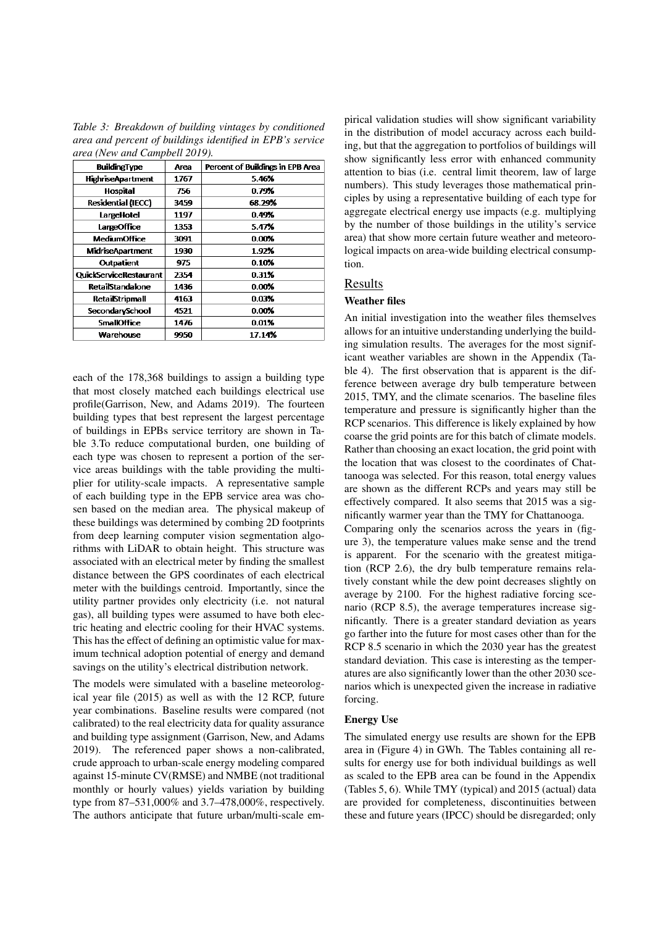*Table 3: Breakdown of building vintages by conditioned area and percent of buildings identified in EPB's service area (New and Campbell 2019).*

| <b>BuildingType</b>       | Area | Percent of Buildings in EPB Area |
|---------------------------|------|----------------------------------|
| <b>HighriseApartment</b>  | 1767 | 5.46%                            |
| <b>Hospital</b>           | 756  | 0.79%                            |
| <b>Residential (IECC)</b> | 3459 | 68.29%                           |
| LargeHotel                | 1197 | 0.49%                            |
| LargeOffice               | 1353 | 5.47%                            |
| <b>MediumOffice</b>       | 3091 | 0.00%                            |
| <b>MidriseApartment</b>   | 1930 | 1.92%                            |
| Outpatient                | 975  | 0.10%                            |
| QuickServiceRestaurant    | 2354 | 0.31%                            |
| <b>RetailStandalone</b>   | 1436 | 0.00%                            |
| <b>RetailStripmall</b>    | 4163 | 0.03%                            |
| <b>SecondarySchool</b>    | 4521 | 0.00%                            |
| <b>SmallOffice</b>        | 1476 | 0.01%                            |
| Warehouse                 | 9950 | 17.14%                           |

each of the 178,368 buildings to assign a building type that most closely matched each buildings electrical use profile(Garrison, New, and Adams 2019). The fourteen building types that best represent the largest percentage of buildings in EPBs service territory are shown in Table 3.To reduce computational burden, one building of each type was chosen to represent a portion of the service areas buildings with the table providing the multiplier for utility-scale impacts. A representative sample of each building type in the EPB service area was chosen based on the median area. The physical makeup of these buildings was determined by combing 2D footprints from deep learning computer vision segmentation algorithms with LiDAR to obtain height. This structure was associated with an electrical meter by finding the smallest distance between the GPS coordinates of each electrical meter with the buildings centroid. Importantly, since the utility partner provides only electricity (i.e. not natural gas), all building types were assumed to have both electric heating and electric cooling for their HVAC systems. This has the effect of defining an optimistic value for maximum technical adoption potential of energy and demand savings on the utility's electrical distribution network.

The models were simulated with a baseline meteorological year file (2015) as well as with the 12 RCP, future year combinations. Baseline results were compared (not calibrated) to the real electricity data for quality assurance and building type assignment (Garrison, New, and Adams 2019). The referenced paper shows a non-calibrated, crude approach to urban-scale energy modeling compared against 15-minute CV(RMSE) and NMBE (not traditional monthly or hourly values) yields variation by building type from 87–531,000% and 3.7–478,000%, respectively. The authors anticipate that future urban/multi-scale em-

pirical validation studies will show significant variability in the distribution of model accuracy across each building, but that the aggregation to portfolios of buildings will show significantly less error with enhanced community attention to bias (i.e. central limit theorem, law of large numbers). This study leverages those mathematical principles by using a representative building of each type for aggregate electrical energy use impacts (e.g. multiplying by the number of those buildings in the utility's service area) that show more certain future weather and meteorological impacts on area-wide building electrical consumption.

#### Results

# Weather files

An initial investigation into the weather files themselves allows for an intuitive understanding underlying the building simulation results. The averages for the most significant weather variables are shown in the Appendix (Table 4). The first observation that is apparent is the difference between average dry bulb temperature between 2015, TMY, and the climate scenarios. The baseline files temperature and pressure is significantly higher than the RCP scenarios. This difference is likely explained by how coarse the grid points are for this batch of climate models. Rather than choosing an exact location, the grid point with the location that was closest to the coordinates of Chattanooga was selected. For this reason, total energy values are shown as the different RCPs and years may still be effectively compared. It also seems that 2015 was a significantly warmer year than the TMY for Chattanooga. Comparing only the scenarios across the years in (figure 3), the temperature values make sense and the trend is apparent. For the scenario with the greatest mitigation (RCP 2.6), the dry bulb temperature remains relatively constant while the dew point decreases slightly on average by 2100. For the highest radiative forcing scenario (RCP 8.5), the average temperatures increase significantly. There is a greater standard deviation as years go farther into the future for most cases other than for the RCP 8.5 scenario in which the 2030 year has the greatest standard deviation. This case is interesting as the temperatures are also significantly lower than the other 2030 scenarios which is unexpected given the increase in radiative forcing.

#### Energy Use

The simulated energy use results are shown for the EPB area in (Figure 4) in GWh. The Tables containing all results for energy use for both individual buildings as well as scaled to the EPB area can be found in the Appendix (Tables 5, 6). While TMY (typical) and 2015 (actual) data are provided for completeness, discontinuities between these and future years (IPCC) should be disregarded; only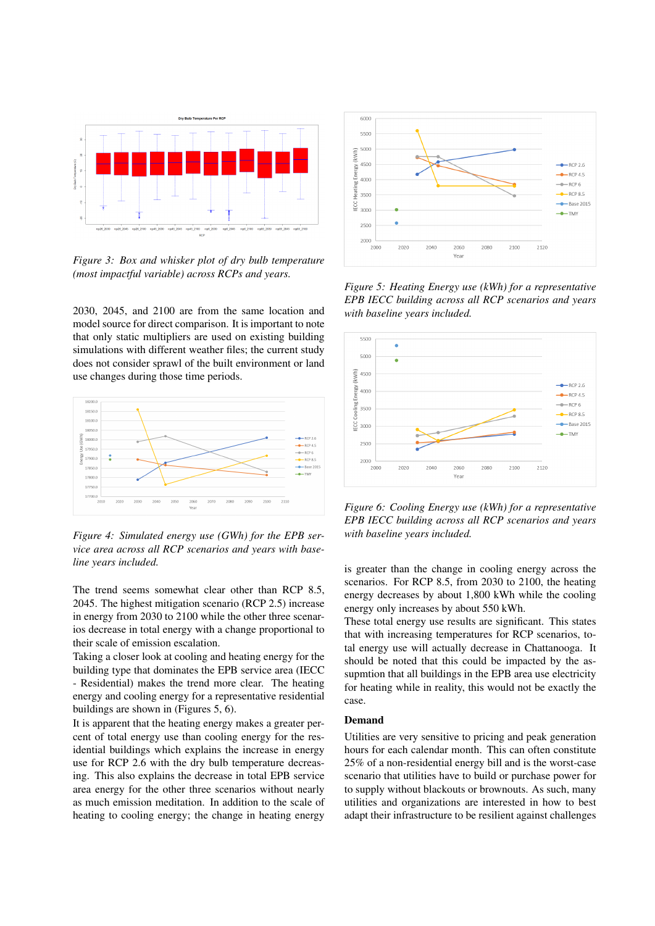

*Figure 3: Box and whisker plot of dry bulb temperature (most impactful variable) across RCPs and years.*

2030, 2045, and 2100 are from the same location and model source for direct comparison. It is important to note that only static multipliers are used on existing building simulations with different weather files; the current study does not consider sprawl of the built environment or land use changes during those time periods.



*Figure 4: Simulated energy use (GWh) for the EPB service area across all RCP scenarios and years with baseline years included.*

The trend seems somewhat clear other than RCP 8.5, 2045. The highest mitigation scenario (RCP 2.5) increase in energy from 2030 to 2100 while the other three scenarios decrease in total energy with a change proportional to their scale of emission escalation.

Taking a closer look at cooling and heating energy for the building type that dominates the EPB service area (IECC - Residential) makes the trend more clear. The heating energy and cooling energy for a representative residential buildings are shown in (Figures 5, 6).

It is apparent that the heating energy makes a greater percent of total energy use than cooling energy for the residential buildings which explains the increase in energy use for RCP 2.6 with the dry bulb temperature decreasing. This also explains the decrease in total EPB service area energy for the other three scenarios without nearly as much emission meditation. In addition to the scale of heating to cooling energy; the change in heating energy



*Figure 5: Heating Energy use (kWh) for a representative EPB IECC building across all RCP scenarios and years with baseline years included.*



*Figure 6: Cooling Energy use (kWh) for a representative EPB IECC building across all RCP scenarios and years with baseline years included.*

is greater than the change in cooling energy across the scenarios. For RCP 8.5, from 2030 to 2100, the heating energy decreases by about 1,800 kWh while the cooling energy only increases by about 550 kWh.

These total energy use results are significant. This states that with increasing temperatures for RCP scenarios, total energy use will actually decrease in Chattanooga. It should be noted that this could be impacted by the assupmtion that all buildings in the EPB area use electricity for heating while in reality, this would not be exactly the case.

#### Demand

Utilities are very sensitive to pricing and peak generation hours for each calendar month. This can often constitute 25% of a non-residential energy bill and is the worst-case scenario that utilities have to build or purchase power for to supply without blackouts or brownouts. As such, many utilities and organizations are interested in how to best adapt their infrastructure to be resilient against challenges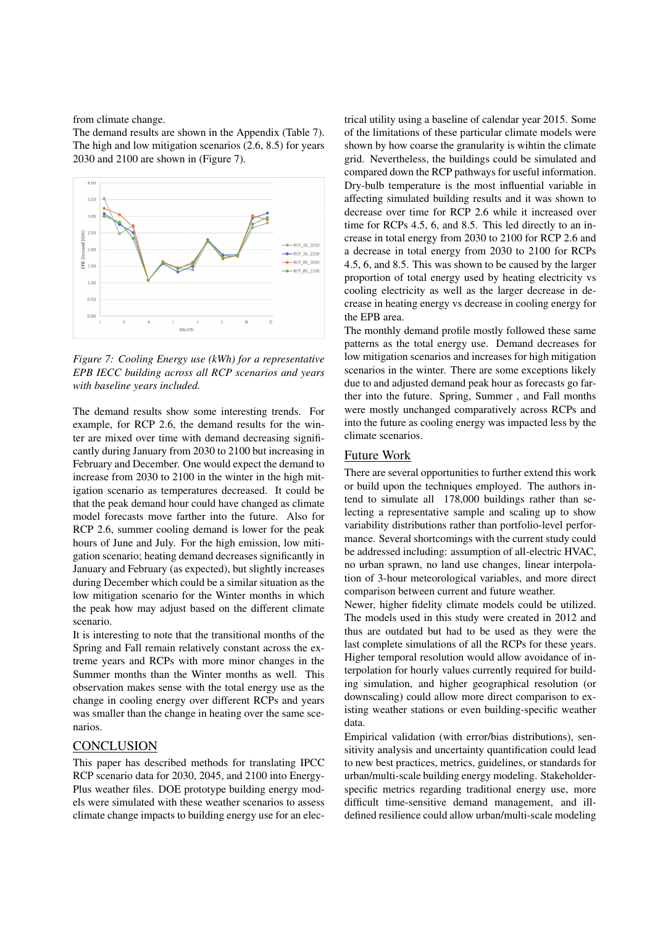from climate change.

The demand results are shown in the Appendix (Table 7). The high and low mitigation scenarios (2.6, 8.5) for years 2030 and 2100 are shown in (Figure 7).



*Figure 7: Cooling Energy use (kWh) for a representative EPB IECC building across all RCP scenarios and years with baseline years included.*

The demand results show some interesting trends. For example, for RCP 2.6, the demand results for the winter are mixed over time with demand decreasing significantly during January from 2030 to 2100 but increasing in February and December. One would expect the demand to increase from 2030 to 2100 in the winter in the high mitigation scenario as temperatures decreased. It could be that the peak demand hour could have changed as climate model forecasts move farther into the future. Also for RCP 2.6, summer cooling demand is lower for the peak hours of June and July. For the high emission, low mitigation scenario; heating demand decreases significantly in January and February (as expected), but slightly increases during December which could be a similar situation as the low mitigation scenario for the Winter months in which the peak how may adjust based on the different climate scenario.

It is interesting to note that the transitional months of the Spring and Fall remain relatively constant across the extreme years and RCPs with more minor changes in the Summer months than the Winter months as well. This observation makes sense with the total energy use as the change in cooling energy over different RCPs and years was smaller than the change in heating over the same scenarios.

# **CONCLUSION**

This paper has described methods for translating IPCC RCP scenario data for 2030, 2045, and 2100 into Energy-Plus weather files. DOE prototype building energy models were simulated with these weather scenarios to assess climate change impacts to building energy use for an elec-

trical utility using a baseline of calendar year 2015. Some of the limitations of these particular climate models were shown by how coarse the granularity is wihtin the climate grid. Nevertheless, the buildings could be simulated and compared down the RCP pathways for useful information. Dry-bulb temperature is the most influential variable in affecting simulated building results and it was shown to decrease over time for RCP 2.6 while it increased over time for RCPs 4.5, 6, and 8.5. This led directly to an increase in total energy from 2030 to 2100 for RCP 2.6 and a decrease in total energy from 2030 to 2100 for RCPs 4.5, 6, and 8.5. This was shown to be caused by the larger proportion of total energy used by heating electricity vs cooling electricity as well as the larger decrease in decrease in heating energy vs decrease in cooling energy for the EPB area.

The monthly demand profile mostly followed these same patterns as the total energy use. Demand decreases for low mitigation scenarios and increases for high mitigation scenarios in the winter. There are some exceptions likely due to and adjusted demand peak hour as forecasts go farther into the future. Spring, Summer , and Fall months were mostly unchanged comparatively across RCPs and into the future as cooling energy was impacted less by the climate scenarios.

### Future Work

There are several opportunities to further extend this work or build upon the techniques employed. The authors intend to simulate all 178,000 buildings rather than selecting a representative sample and scaling up to show variability distributions rather than portfolio-level performance. Several shortcomings with the current study could be addressed including: assumption of all-electric HVAC, no urban sprawn, no land use changes, linear interpolation of 3-hour meteorological variables, and more direct comparison between current and future weather.

Newer, higher fidelity climate models could be utilized. The models used in this study were created in 2012 and thus are outdated but had to be used as they were the last complete simulations of all the RCPs for these years. Higher temporal resolution would allow avoidance of interpolation for hourly values currently required for building simulation, and higher geographical resolution (or downscaling) could allow more direct comparison to existing weather stations or even building-specific weather data.

Empirical validation (with error/bias distributions), sensitivity analysis and uncertainty quantification could lead to new best practices, metrics, guidelines, or standards for urban/multi-scale building energy modeling. Stakeholderspecific metrics regarding traditional energy use, more difficult time-sensitive demand management, and illdefined resilience could allow urban/multi-scale modeling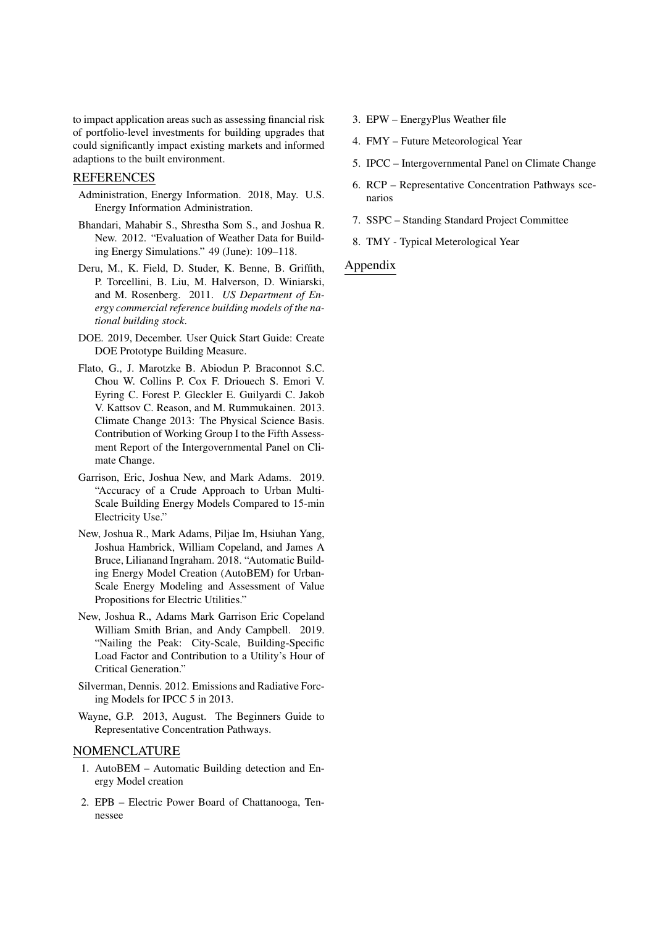to impact application areas such as assessing financial risk of portfolio-level investments for building upgrades that could significantly impact existing markets and informed adaptions to the built environment.

# REFERENCES

- Administration, Energy Information. 2018, May. U.S. Energy Information Administration.
- Bhandari, Mahabir S., Shrestha Som S., and Joshua R. New. 2012. "Evaluation of Weather Data for Building Energy Simulations." 49 (June): 109–118.
- Deru, M., K. Field, D. Studer, K. Benne, B. Griffith, P. Torcellini, B. Liu, M. Halverson, D. Winiarski, and M. Rosenberg. 2011. *US Department of Energy commercial reference building models of the national building stock*.
- DOE. 2019, December. User Quick Start Guide: Create DOE Prototype Building Measure.
- Flato, G., J. Marotzke B. Abiodun P. Braconnot S.C. Chou W. Collins P. Cox F. Driouech S. Emori V. Eyring C. Forest P. Gleckler E. Guilyardi C. Jakob V. Kattsov C. Reason, and M. Rummukainen. 2013. Climate Change 2013: The Physical Science Basis. Contribution of Working Group I to the Fifth Assessment Report of the Intergovernmental Panel on Climate Change.
- Garrison, Eric, Joshua New, and Mark Adams. 2019. "Accuracy of a Crude Approach to Urban Multi-Scale Building Energy Models Compared to 15-min Electricity Use."
- New, Joshua R., Mark Adams, Piljae Im, Hsiuhan Yang, Joshua Hambrick, William Copeland, and James A Bruce, Lilianand Ingraham. 2018. "Automatic Building Energy Model Creation (AutoBEM) for Urban-Scale Energy Modeling and Assessment of Value Propositions for Electric Utilities."
- New, Joshua R., Adams Mark Garrison Eric Copeland William Smith Brian, and Andy Campbell. 2019. "Nailing the Peak: City-Scale, Building-Specific Load Factor and Contribution to a Utility's Hour of Critical Generation."
- Silverman, Dennis. 2012. Emissions and Radiative Forcing Models for IPCC 5 in 2013.
- Wayne, G.P. 2013, August. The Beginners Guide to Representative Concentration Pathways.

### NOMENCLATURE

- 1. AutoBEM Automatic Building detection and Energy Model creation
- 2. EPB Electric Power Board of Chattanooga, Tennessee
- 3. EPW EnergyPlus Weather file
- 4. FMY Future Meteorological Year
- 5. IPCC Intergovernmental Panel on Climate Change
- 6. RCP Representative Concentration Pathways scenarios
- 7. SSPC Standing Standard Project Committee
- 8. TMY Typical Meterological Year

### Appendix